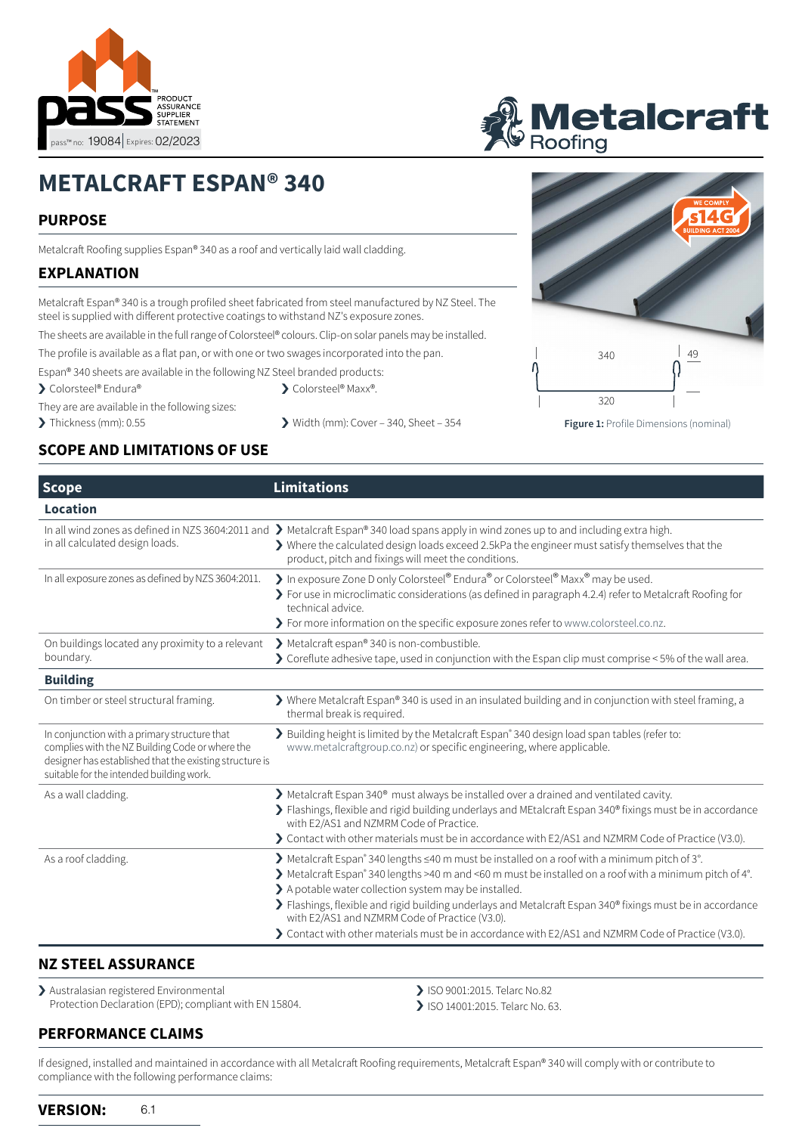



# **METALCRAFT ESPAN® 340**

## **PURPOSE**

Metalcraft Roofing supplies Espan® 340 as a roof and vertically laid wall cladding.

## **EXPLANATION**

Metalcraft Espan® 340 is a trough profiled sheet fabricated from steel manufactured by NZ Steel. The steel is supplied with different protective coatings to withstand NZ's exposure zones.

The sheets are available in the full range of Colorsteel® colours. Clip-on solar panels may be installed.

The profile is available as a flat pan, or with one or two swages incorporated into the pan.

Espan® 340 sheets are available in the following NZ Steel branded products:

› Colorsteel® Endura® › Colorsteel® Maxx®.

They are are available in the following sizes:

- 
- > Thickness (mm): 0.55 > > Width (mm): Cover 340, Sheet 354 **Figure 1:** Profile Dimensions (nominal)
- 320

340 ag

## **SCOPE AND LIMITATIONS OF USE**

| <b>Scope</b>                                                                                                                                                                                           | Limitations                                                                                                                                                                                                                                                                                                                                                                                                                                                                                                                                                                    |  |
|--------------------------------------------------------------------------------------------------------------------------------------------------------------------------------------------------------|--------------------------------------------------------------------------------------------------------------------------------------------------------------------------------------------------------------------------------------------------------------------------------------------------------------------------------------------------------------------------------------------------------------------------------------------------------------------------------------------------------------------------------------------------------------------------------|--|
| Location                                                                                                                                                                                               |                                                                                                                                                                                                                                                                                                                                                                                                                                                                                                                                                                                |  |
| in all calculated design loads.                                                                                                                                                                        | In all wind zones as defined in NZS 3604:2011 and $\sum$ Metalcraft Espan® 340 load spans apply in wind zones up to and including extra high.<br>$\blacktriangleright$ Where the calculated design loads exceed 2.5kPa the engineer must satisfy themselves that the<br>product, pitch and fixings will meet the conditions.                                                                                                                                                                                                                                                   |  |
| In all exposure zones as defined by NZS 3604:2011.                                                                                                                                                     | In exposure Zone D only Colorsteel® Endura® or Colorsteel® Maxx® may be used.<br>> For use in microclimatic considerations (as defined in paragraph 4.2.4) refer to Metalcraft Roofing for<br>technical advice.<br>> For more information on the specific exposure zones refer to www.colorsteel.co.nz.                                                                                                                                                                                                                                                                        |  |
| On buildings located any proximity to a relevant                                                                                                                                                       | > Metalcraft espan® 340 is non-combustible.                                                                                                                                                                                                                                                                                                                                                                                                                                                                                                                                    |  |
| boundary.                                                                                                                                                                                              | Soreflute adhesive tape, used in conjunction with the Espan clip must comprise $\leq$ 5% of the wall area.                                                                                                                                                                                                                                                                                                                                                                                                                                                                     |  |
| <b>Building</b>                                                                                                                                                                                        |                                                                                                                                                                                                                                                                                                                                                                                                                                                                                                                                                                                |  |
| On timber or steel structural framing.                                                                                                                                                                 | > Where Metalcraft Espan® 340 is used in an insulated building and in conjunction with steel framing, a<br>thermal break is required.                                                                                                                                                                                                                                                                                                                                                                                                                                          |  |
| In conjunction with a primary structure that<br>complies with the NZ Building Code or where the<br>designer has established that the existing structure is<br>suitable for the intended building work. | > Building height is limited by the Metalcraft Espan <sup>®</sup> 340 design load span tables (refer to:<br>www.metalcraftgroup.co.nz) or specific engineering, where applicable.                                                                                                                                                                                                                                                                                                                                                                                              |  |
| As a wall cladding.                                                                                                                                                                                    | > Metalcraft Espan 340 <sup>®</sup> must always be installed over a drained and ventilated cavity.<br>> Flashings, flexible and rigid building underlays and MEtalcraft Espan 340® fixings must be in accordance<br>with E2/AS1 and NZMRM Code of Practice.<br>> Contact with other materials must be in accordance with E2/AS1 and NZMRM Code of Practice (V3.0).                                                                                                                                                                                                             |  |
| As a roof cladding.                                                                                                                                                                                    | $\blacktriangleright$ Metalcraft Espan® 340 lengths $\leq$ 40 m must be installed on a roof with a minimum pitch of 3°.<br>> Metalcraft Espan® 340 lengths >40 m and <60 m must be installed on a roof with a minimum pitch of 4°.<br>> A potable water collection system may be installed.<br>> Flashings, flexible and rigid building underlays and Metalcraft Espan 340 <sup>®</sup> fixings must be in accordance<br>with E2/AS1 and NZMRM Code of Practice (V3.0).<br>> Contact with other materials must be in accordance with E2/AS1 and NZMRM Code of Practice (V3.0). |  |

## **NZ STEEL ASSURANCE**

› Australasian registered Environmental Protection Declaration (EPD); compliant with EN 15804.

#### **PERFORMANCE CLAIMS**

> ISO 9001:2015. Telarc No.82

> ISO 14001:2015. Telarc No. 63.

If designed, installed and maintained in accordance with all Metalcraft Roofing requirements, Metalcraft Espan® 340 will comply with or contribute to compliance with the following performance claims: